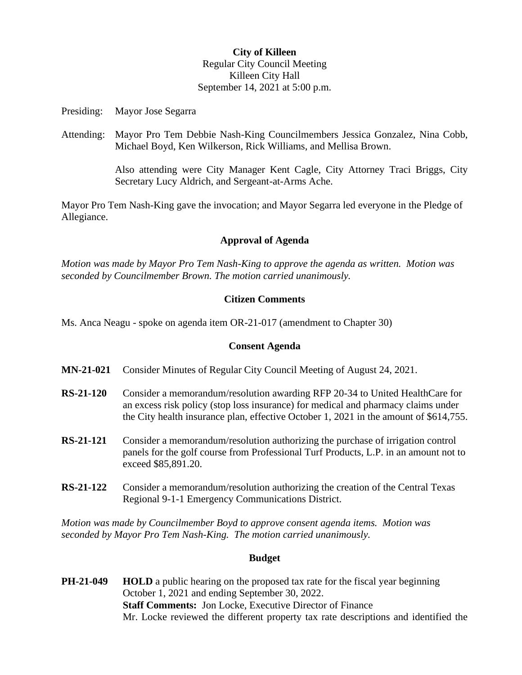### **City of Killeen** Regular City Council Meeting Killeen City Hall September 14, 2021 at 5:00 p.m.

Presiding: Mayor Jose Segarra

Attending: Mayor Pro Tem Debbie Nash-King Councilmembers Jessica Gonzalez, Nina Cobb, Michael Boyd, Ken Wilkerson, Rick Williams, and Mellisa Brown.

> Also attending were City Manager Kent Cagle, City Attorney Traci Briggs, City Secretary Lucy Aldrich, and Sergeant-at-Arms Ache.

Mayor Pro Tem Nash-King gave the invocation; and Mayor Segarra led everyone in the Pledge of Allegiance.

### **Approval of Agenda**

*Motion was made by Mayor Pro Tem Nash-King to approve the agenda as written. Motion was seconded by Councilmember Brown. The motion carried unanimously.*

### **Citizen Comments**

Ms. Anca Neagu - spoke on agenda item OR-21-017 (amendment to Chapter 30)

# **Consent Agenda**

- **MN-21-021** Consider Minutes of Regular City Council Meeting of August 24, 2021.
- **RS-21-120** Consider a memorandum/resolution awarding RFP 20-34 to United HealthCare for an excess risk policy (stop loss insurance) for medical and pharmacy claims under the City health insurance plan, effective October 1, 2021 in the amount of \$614,755.
- **RS-21-121** Consider a memorandum/resolution authorizing the purchase of irrigation control panels for the golf course from Professional Turf Products, L.P. in an amount not to exceed \$85,891.20.
- **RS-21-122** Consider a memorandum/resolution authorizing the creation of the Central Texas Regional 9-1-1 Emergency Communications District.

*Motion was made by Councilmember Boyd to approve consent agenda items. Motion was seconded by Mayor Pro Tem Nash-King. The motion carried unanimously.*

### **Budget**

**PH-21-049 HOLD** a public hearing on the proposed tax rate for the fiscal year beginning October 1, 2021 and ending September 30, 2022. **Staff Comments:** Jon Locke, Executive Director of Finance Mr. Locke reviewed the different property tax rate descriptions and identified the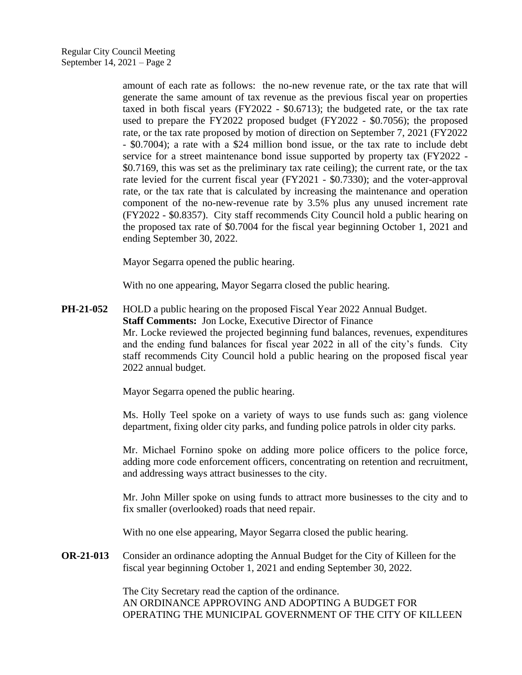amount of each rate as follows: the no-new revenue rate, or the tax rate that will generate the same amount of tax revenue as the previous fiscal year on properties taxed in both fiscal years (FY2022 - \$0.6713); the budgeted rate, or the tax rate used to prepare the FY2022 proposed budget (FY2022 - \$0.7056); the proposed rate, or the tax rate proposed by motion of direction on September 7, 2021 (FY2022 - \$0.7004); a rate with a \$24 million bond issue, or the tax rate to include debt service for a street maintenance bond issue supported by property tax (FY2022 - \$0.7169, this was set as the preliminary tax rate ceiling); the current rate, or the tax rate levied for the current fiscal year (FY2021 - \$0.7330); and the voter-approval rate, or the tax rate that is calculated by increasing the maintenance and operation component of the no-new-revenue rate by 3.5% plus any unused increment rate (FY2022 - \$0.8357). City staff recommends City Council hold a public hearing on the proposed tax rate of \$0.7004 for the fiscal year beginning October 1, 2021 and ending September 30, 2022.

Mayor Segarra opened the public hearing.

With no one appearing, Mayor Segarra closed the public hearing.

**PH-21-052** HOLD a public hearing on the proposed Fiscal Year 2022 Annual Budget. **Staff Comments:** Jon Locke, Executive Director of Finance Mr. Locke reviewed the projected beginning fund balances, revenues, expenditures and the ending fund balances for fiscal year 2022 in all of the city's funds. City staff recommends City Council hold a public hearing on the proposed fiscal year 2022 annual budget.

Mayor Segarra opened the public hearing.

Ms. Holly Teel spoke on a variety of ways to use funds such as: gang violence department, fixing older city parks, and funding police patrols in older city parks.

Mr. Michael Fornino spoke on adding more police officers to the police force, adding more code enforcement officers, concentrating on retention and recruitment, and addressing ways attract businesses to the city.

Mr. John Miller spoke on using funds to attract more businesses to the city and to fix smaller (overlooked) roads that need repair.

With no one else appearing, Mayor Segarra closed the public hearing.

**OR-21-013** Consider an ordinance adopting the Annual Budget for the City of Killeen for the fiscal year beginning October 1, 2021 and ending September 30, 2022.

> The City Secretary read the caption of the ordinance. AN ORDINANCE APPROVING AND ADOPTING A BUDGET FOR OPERATING THE MUNICIPAL GOVERNMENT OF THE CITY OF KILLEEN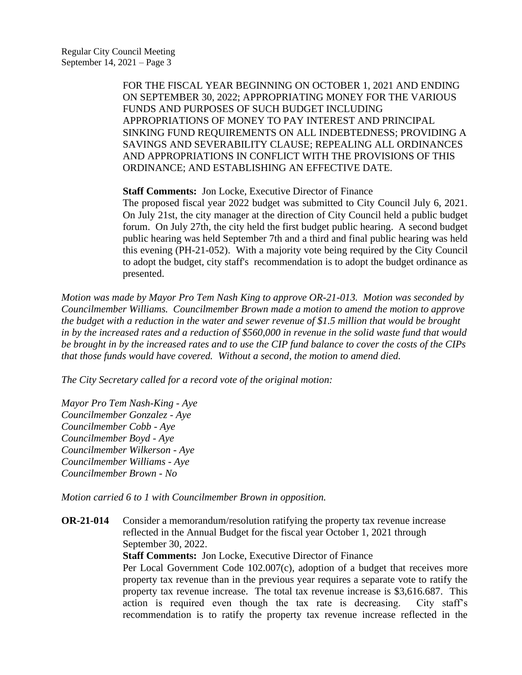> FOR THE FISCAL YEAR BEGINNING ON OCTOBER 1, 2021 AND ENDING ON SEPTEMBER 30, 2022; APPROPRIATING MONEY FOR THE VARIOUS FUNDS AND PURPOSES OF SUCH BUDGET INCLUDING APPROPRIATIONS OF MONEY TO PAY INTEREST AND PRINCIPAL SINKING FUND REQUIREMENTS ON ALL INDEBTEDNESS; PROVIDING A SAVINGS AND SEVERABILITY CLAUSE; REPEALING ALL ORDINANCES AND APPROPRIATIONS IN CONFLICT WITH THE PROVISIONS OF THIS ORDINANCE; AND ESTABLISHING AN EFFECTIVE DATE.

**Staff Comments:** Jon Locke, Executive Director of Finance

The proposed fiscal year 2022 budget was submitted to City Council July 6, 2021. On July 21st, the city manager at the direction of City Council held a public budget forum. On July 27th, the city held the first budget public hearing. A second budget public hearing was held September 7th and a third and final public hearing was held this evening (PH-21-052). With a majority vote being required by the City Council to adopt the budget, city staff's recommendation is to adopt the budget ordinance as presented.

*Motion was made by Mayor Pro Tem Nash King to approve OR-21-013. Motion was seconded by Councilmember Williams. Councilmember Brown made a motion to amend the motion to approve the budget with a reduction in the water and sewer revenue of \$1.5 million that would be brought in by the increased rates and a reduction of \$560,000 in revenue in the solid waste fund that would be brought in by the increased rates and to use the CIP fund balance to cover the costs of the CIPs that those funds would have covered. Without a second, the motion to amend died.* 

*The City Secretary called for a record vote of the original motion:*

*Mayor Pro Tem Nash-King - Aye Councilmember Gonzalez - Aye Councilmember Cobb - Aye Councilmember Boyd - Aye Councilmember Wilkerson - Aye Councilmember Williams - Aye Councilmember Brown - No*

*Motion carried 6 to 1 with Councilmember Brown in opposition.*

**OR-21-014** Consider a memorandum/resolution ratifying the property tax revenue increase reflected in the Annual Budget for the fiscal year October 1, 2021 through September 30, 2022.

**Staff Comments:** Jon Locke, Executive Director of Finance

Per Local Government Code 102.007(c), adoption of a budget that receives more property tax revenue than in the previous year requires a separate vote to ratify the property tax revenue increase. The total tax revenue increase is \$3,616.687. This action is required even though the tax rate is decreasing. City staff's recommendation is to ratify the property tax revenue increase reflected in the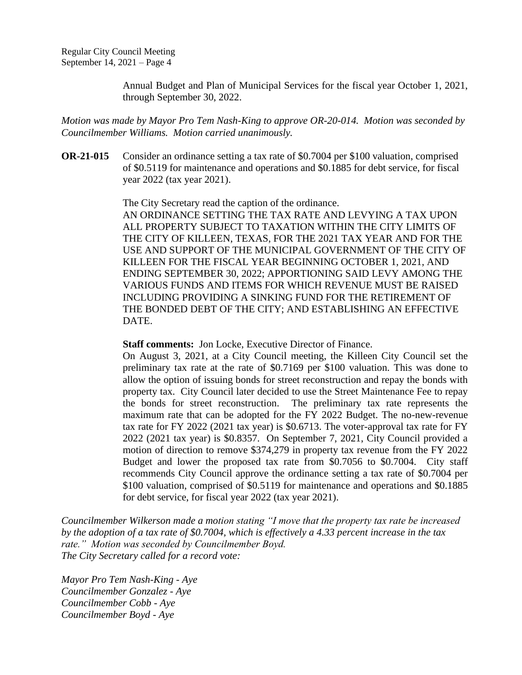Annual Budget and Plan of Municipal Services for the fiscal year October 1, 2021, through September 30, 2022.

*Motion was made by Mayor Pro Tem Nash-King to approve OR-20-014. Motion was seconded by Councilmember Williams. Motion carried unanimously.*

**OR-21-015** Consider an ordinance setting a tax rate of \$0.7004 per \$100 valuation, comprised of \$0.5119 for maintenance and operations and \$0.1885 for debt service, for fiscal year 2022 (tax year 2021).

The City Secretary read the caption of the ordinance.

AN ORDINANCE SETTING THE TAX RATE AND LEVYING A TAX UPON ALL PROPERTY SUBJECT TO TAXATION WITHIN THE CITY LIMITS OF THE CITY OF KILLEEN, TEXAS, FOR THE 2021 TAX YEAR AND FOR THE USE AND SUPPORT OF THE MUNICIPAL GOVERNMENT OF THE CITY OF KILLEEN FOR THE FISCAL YEAR BEGINNING OCTOBER 1, 2021, AND ENDING SEPTEMBER 30, 2022; APPORTIONING SAID LEVY AMONG THE VARIOUS FUNDS AND ITEMS FOR WHICH REVENUE MUST BE RAISED INCLUDING PROVIDING A SINKING FUND FOR THE RETIREMENT OF THE BONDED DEBT OF THE CITY; AND ESTABLISHING AN EFFECTIVE DATE.

**Staff comments:** Jon Locke, Executive Director of Finance.

On August 3, 2021, at a City Council meeting, the Killeen City Council set the preliminary tax rate at the rate of \$0.7169 per \$100 valuation. This was done to allow the option of issuing bonds for street reconstruction and repay the bonds with property tax. City Council later decided to use the Street Maintenance Fee to repay the bonds for street reconstruction. The preliminary tax rate represents the maximum rate that can be adopted for the FY 2022 Budget. The no-new-revenue tax rate for FY 2022 (2021 tax year) is \$0.6713. The voter-approval tax rate for FY 2022 (2021 tax year) is \$0.8357. On September 7, 2021, City Council provided a motion of direction to remove \$374,279 in property tax revenue from the FY 2022 Budget and lower the proposed tax rate from \$0.7056 to \$0.7004. City staff recommends City Council approve the ordinance setting a tax rate of \$0.7004 per \$100 valuation, comprised of \$0.5119 for maintenance and operations and \$0.1885 for debt service, for fiscal year 2022 (tax year 2021).

*Councilmember Wilkerson made a motion stating "I move that the property tax rate be increased by the adoption of a tax rate of \$0.7004, which is effectively a 4.33 percent increase in the tax rate." Motion was seconded by Councilmember Boyd. The City Secretary called for a record vote:*

*Mayor Pro Tem Nash-King - Aye Councilmember Gonzalez - Aye Councilmember Cobb - Aye Councilmember Boyd - Aye*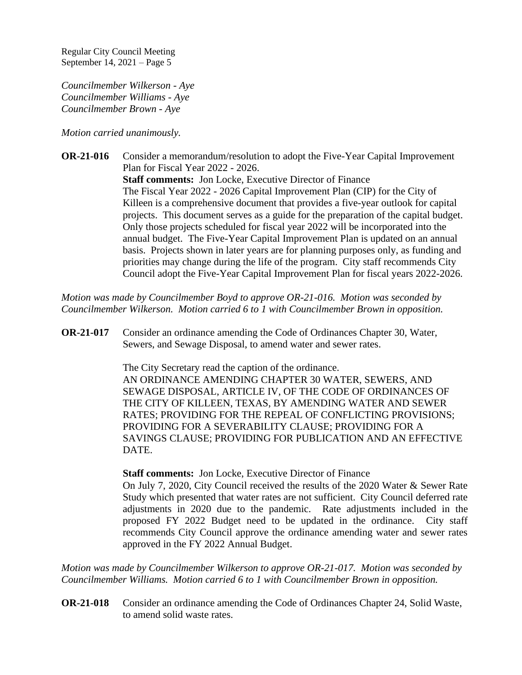*Councilmember Wilkerson - Aye Councilmember Williams - Aye Councilmember Brown - Aye*

*Motion carried unanimously.*

**OR-21-016** Consider a memorandum/resolution to adopt the Five-Year Capital Improvement Plan for Fiscal Year 2022 - 2026. **Staff comments:** Jon Locke, Executive Director of Finance The Fiscal Year 2022 - 2026 Capital Improvement Plan (CIP) for the City of Killeen is a comprehensive document that provides a five-year outlook for capital projects. This document serves as a guide for the preparation of the capital budget. Only those projects scheduled for fiscal year 2022 will be incorporated into the annual budget. The Five-Year Capital Improvement Plan is updated on an annual basis. Projects shown in later years are for planning purposes only, as funding and priorities may change during the life of the program. City staff recommends City Council adopt the Five-Year Capital Improvement Plan for fiscal years 2022-2026.

*Motion was made by Councilmember Boyd to approve OR-21-016. Motion was seconded by Councilmember Wilkerson. Motion carried 6 to 1 with Councilmember Brown in opposition.*

**OR-21-017** Consider an ordinance amending the Code of Ordinances Chapter 30, Water, Sewers, and Sewage Disposal, to amend water and sewer rates.

The City Secretary read the caption of the ordinance.

AN ORDINANCE AMENDING CHAPTER 30 WATER, SEWERS, AND SEWAGE DISPOSAL, ARTICLE IV, OF THE CODE OF ORDINANCES OF THE CITY OF KILLEEN, TEXAS, BY AMENDING WATER AND SEWER RATES; PROVIDING FOR THE REPEAL OF CONFLICTING PROVISIONS; PROVIDING FOR A SEVERABILITY CLAUSE; PROVIDING FOR A SAVINGS CLAUSE; PROVIDING FOR PUBLICATION AND AN EFFECTIVE DATE.

**Staff comments:** Jon Locke, Executive Director of Finance

On July 7, 2020, City Council received the results of the 2020 Water & Sewer Rate Study which presented that water rates are not sufficient. City Council deferred rate adjustments in 2020 due to the pandemic. Rate adjustments included in the proposed FY 2022 Budget need to be updated in the ordinance. City staff recommends City Council approve the ordinance amending water and sewer rates approved in the FY 2022 Annual Budget.

*Motion was made by Councilmember Wilkerson to approve OR-21-017. Motion was seconded by Councilmember Williams. Motion carried 6 to 1 with Councilmember Brown in opposition.*

**OR-21-018** Consider an ordinance amending the Code of Ordinances Chapter 24, Solid Waste, to amend solid waste rates.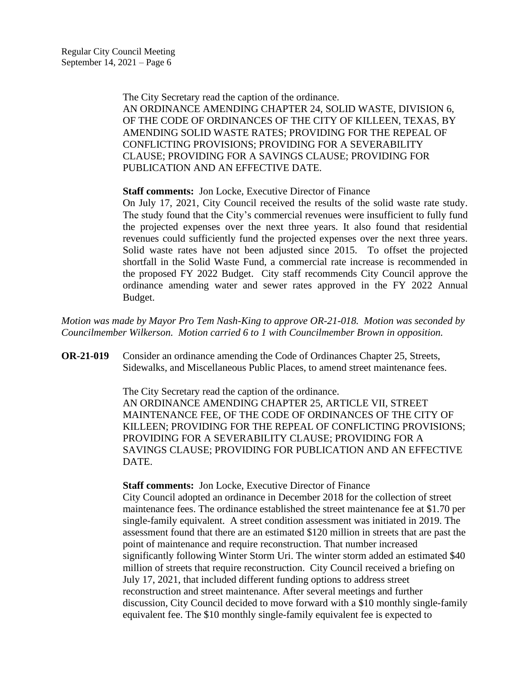The City Secretary read the caption of the ordinance. AN ORDINANCE AMENDING CHAPTER 24, SOLID WASTE, DIVISION 6, OF THE CODE OF ORDINANCES OF THE CITY OF KILLEEN, TEXAS, BY AMENDING SOLID WASTE RATES; PROVIDING FOR THE REPEAL OF CONFLICTING PROVISIONS; PROVIDING FOR A SEVERABILITY CLAUSE; PROVIDING FOR A SAVINGS CLAUSE; PROVIDING FOR PUBLICATION AND AN EFFECTIVE DATE.

**Staff comments:** Jon Locke, Executive Director of Finance

On July 17, 2021, City Council received the results of the solid waste rate study. The study found that the City's commercial revenues were insufficient to fully fund the projected expenses over the next three years. It also found that residential revenues could sufficiently fund the projected expenses over the next three years. Solid waste rates have not been adjusted since 2015. To offset the projected shortfall in the Solid Waste Fund, a commercial rate increase is recommended in the proposed FY 2022 Budget. City staff recommends City Council approve the ordinance amending water and sewer rates approved in the FY 2022 Annual Budget.

*Motion was made by Mayor Pro Tem Nash-King to approve OR-21-018. Motion was seconded by Councilmember Wilkerson. Motion carried 6 to 1 with Councilmember Brown in opposition.*

**OR-21-019** Consider an ordinance amending the Code of Ordinances Chapter 25, Streets, Sidewalks, and Miscellaneous Public Places, to amend street maintenance fees.

> The City Secretary read the caption of the ordinance. AN ORDINANCE AMENDING CHAPTER 25, ARTICLE VII, STREET MAINTENANCE FEE, OF THE CODE OF ORDINANCES OF THE CITY OF KILLEEN; PROVIDING FOR THE REPEAL OF CONFLICTING PROVISIONS; PROVIDING FOR A SEVERABILITY CLAUSE; PROVIDING FOR A SAVINGS CLAUSE; PROVIDING FOR PUBLICATION AND AN EFFECTIVE DATE.

**Staff comments:** Jon Locke, Executive Director of Finance

City Council adopted an ordinance in December 2018 for the collection of street maintenance fees. The ordinance established the street maintenance fee at \$1.70 per single-family equivalent. A street condition assessment was initiated in 2019. The assessment found that there are an estimated \$120 million in streets that are past the point of maintenance and require reconstruction. That number increased significantly following Winter Storm Uri. The winter storm added an estimated \$40 million of streets that require reconstruction. City Council received a briefing on July 17, 2021, that included different funding options to address street reconstruction and street maintenance. After several meetings and further discussion, City Council decided to move forward with a \$10 monthly single-family equivalent fee. The \$10 monthly single-family equivalent fee is expected to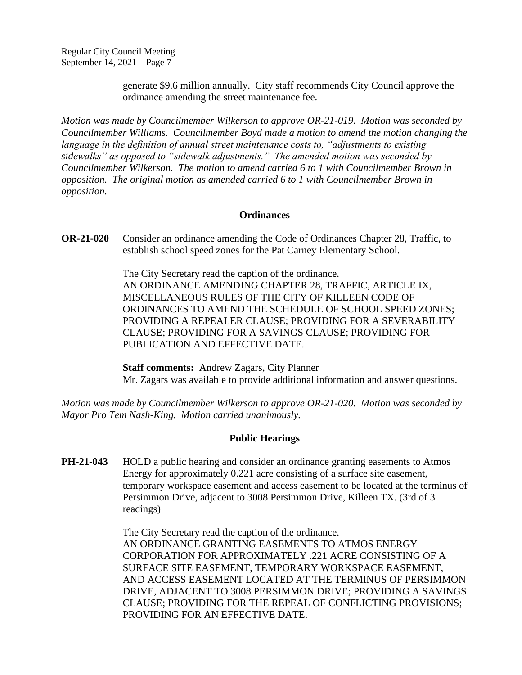> generate \$9.6 million annually. City staff recommends City Council approve the ordinance amending the street maintenance fee.

*Motion was made by Councilmember Wilkerson to approve OR-21-019. Motion was seconded by Councilmember Williams. Councilmember Boyd made a motion to amend the motion changing the language in the definition of annual street maintenance costs to, "adjustments to existing sidewalks" as opposed to "sidewalk adjustments." The amended motion was seconded by Councilmember Wilkerson. The motion to amend carried 6 to 1 with Councilmember Brown in opposition. The original motion as amended carried 6 to 1 with Councilmember Brown in opposition.*

#### **Ordinances**

**OR-21-020** Consider an ordinance amending the Code of Ordinances Chapter 28, Traffic, to establish school speed zones for the Pat Carney Elementary School.

> The City Secretary read the caption of the ordinance. AN ORDINANCE AMENDING CHAPTER 28, TRAFFIC, ARTICLE IX, MISCELLANEOUS RULES OF THE CITY OF KILLEEN CODE OF ORDINANCES TO AMEND THE SCHEDULE OF SCHOOL SPEED ZONES; PROVIDING A REPEALER CLAUSE; PROVIDING FOR A SEVERABILITY CLAUSE; PROVIDING FOR A SAVINGS CLAUSE; PROVIDING FOR PUBLICATION AND EFFECTIVE DATE.

> **Staff comments:** Andrew Zagars, City Planner Mr. Zagars was available to provide additional information and answer questions.

*Motion was made by Councilmember Wilkerson to approve OR-21-020. Motion was seconded by Mayor Pro Tem Nash-King. Motion carried unanimously.*

### **Public Hearings**

**PH-21-043** HOLD a public hearing and consider an ordinance granting easements to Atmos Energy for approximately 0.221 acre consisting of a surface site easement, temporary workspace easement and access easement to be located at the terminus of Persimmon Drive, adjacent to 3008 Persimmon Drive, Killeen TX. (3rd of 3 readings)

> The City Secretary read the caption of the ordinance. AN ORDINANCE GRANTING EASEMENTS TO ATMOS ENERGY CORPORATION FOR APPROXIMATELY .221 ACRE CONSISTING OF A SURFACE SITE EASEMENT, TEMPORARY WORKSPACE EASEMENT, AND ACCESS EASEMENT LOCATED AT THE TERMINUS OF PERSIMMON DRIVE, ADJACENT TO 3008 PERSIMMON DRIVE; PROVIDING A SAVINGS CLAUSE; PROVIDING FOR THE REPEAL OF CONFLICTING PROVISIONS; PROVIDING FOR AN EFFECTIVE DATE.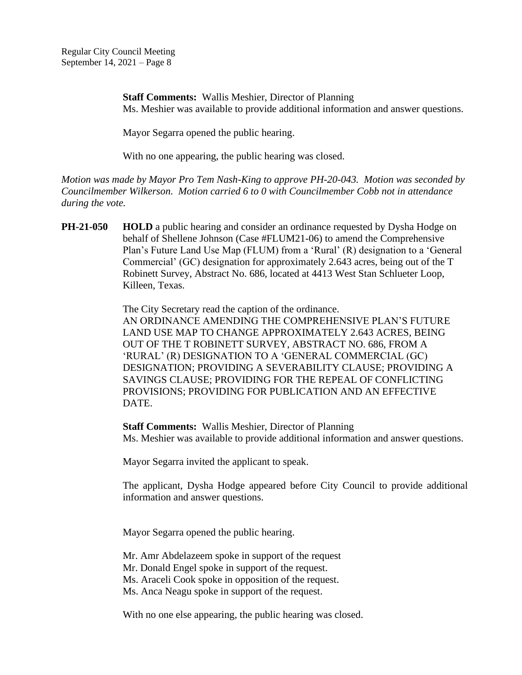> **Staff Comments:** Wallis Meshier, Director of Planning Ms. Meshier was available to provide additional information and answer questions.

Mayor Segarra opened the public hearing.

With no one appearing, the public hearing was closed.

*Motion was made by Mayor Pro Tem Nash-King to approve PH-20-043. Motion was seconded by Councilmember Wilkerson. Motion carried 6 to 0 with Councilmember Cobb not in attendance during the vote.*

**PH-21-050 HOLD** a public hearing and consider an ordinance requested by Dysha Hodge on behalf of Shellene Johnson (Case #FLUM21-06) to amend the Comprehensive Plan's Future Land Use Map (FLUM) from a 'Rural' (R) designation to a 'General Commercial' (GC) designation for approximately 2.643 acres, being out of the T Robinett Survey, Abstract No. 686, located at 4413 West Stan Schlueter Loop, Killeen, Texas.

The City Secretary read the caption of the ordinance.

AN ORDINANCE AMENDING THE COMPREHENSIVE PLAN'S FUTURE LAND USE MAP TO CHANGE APPROXIMATELY 2.643 ACRES, BEING OUT OF THE T ROBINETT SURVEY, ABSTRACT NO. 686, FROM A 'RURAL' (R) DESIGNATION TO A 'GENERAL COMMERCIAL (GC) DESIGNATION; PROVIDING A SEVERABILITY CLAUSE; PROVIDING A SAVINGS CLAUSE; PROVIDING FOR THE REPEAL OF CONFLICTING PROVISIONS; PROVIDING FOR PUBLICATION AND AN EFFECTIVE DATE.

**Staff Comments:** Wallis Meshier, Director of Planning Ms. Meshier was available to provide additional information and answer questions.

Mayor Segarra invited the applicant to speak.

The applicant, Dysha Hodge appeared before City Council to provide additional information and answer questions.

Mayor Segarra opened the public hearing.

Mr. Amr Abdelazeem spoke in support of the request

Mr. Donald Engel spoke in support of the request.

Ms. Araceli Cook spoke in opposition of the request.

Ms. Anca Neagu spoke in support of the request.

With no one else appearing, the public hearing was closed.